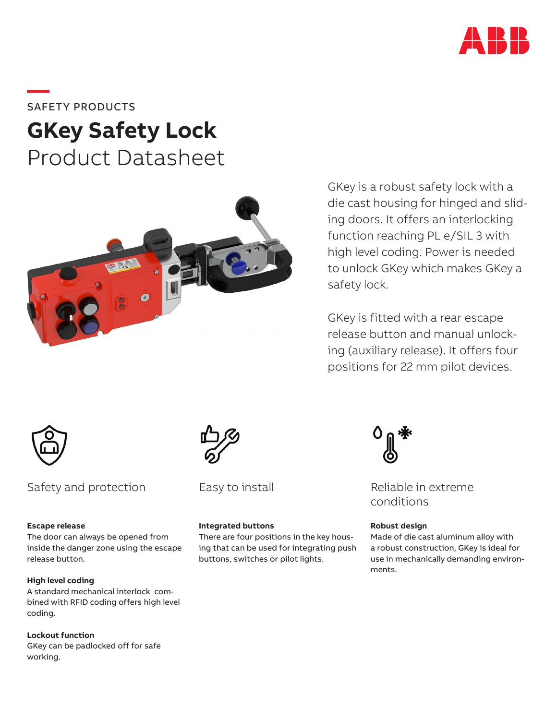

**—**SAFETY PRODUCTS

# **GKey Safety Lock** Product Datasheet



GKey is a robust safety lock with a die cast housing for hinged and sliding doors. It offers an interlocking function reaching PL e/SIL 3 with high level coding. Power is needed to unlock GKey which makes GKey a safety lock.

GKey is fitted with a rear escape release button and manual unlocking (auxiliary release). It offers four positions for 22 mm pilot devices.



# Safety and protection Easy to install Reliable in extreme

# **Escape release**

The door can always be opened from inside the danger zone using the escape release button.

# **High level coding**

A standard mechanical interlock combined with RFID coding offers high level coding.

**Lockout function** GKey can be padlocked off for safe working.



Easy to install

## **Integrated buttons**

There are four positions in the key housing that can be used for integrating push buttons, switches or pilot lights.



conditions

## **Robust design**

Made of die cast aluminum alloy with a robust construction, GKey is ideal for use in mechanically demanding environments.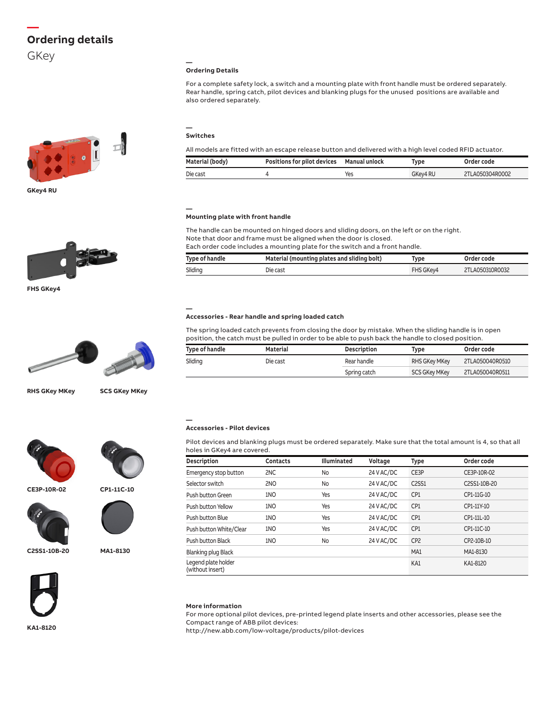# **— Ordering details**

GKey



**GKey4 RU**



**FHS GKey4**



**RHS GKey MKey SCS GKey MKey**





**CP1-11C-10**

**CE3P-10R-02**





**C2SS1-10B-20**





**KA1-8120**

#### **— Ordering Details**

For a complete safety lock, a switch and a mounting plate with front handle must be ordered separately. Rear handle, spring catch, pilot devices and blanking plugs for the unused positions are available and also ordered separately.

#### **— Switches**

| All models are fitted with an escape release button and delivered with a high level coded RFID actuator. |                                              |     |          |                 |
|----------------------------------------------------------------------------------------------------------|----------------------------------------------|-----|----------|-----------------|
| Material (body)                                                                                          | Positions for pilot devices    Manual unlock |     | Tvpe     | Order code      |
| Die cast                                                                                                 |                                              | Yes | GKev4 RU | 2TLA050304R0002 |

#### **— Mounting plate with front handle**

The handle can be mounted on hinged doors and sliding doors, on the left or on the right. Note that door and frame must be aligned when the door is closed.

| Each order code includes a mounting plate for the switch and a front handle. |                                             |           |                 |
|------------------------------------------------------------------------------|---------------------------------------------|-----------|-----------------|
| Type of handle                                                               | Material (mounting plates and sliding bolt) | Tvpe      | Order code      |
| Sliding                                                                      | Die cast                                    | FHS GKev4 | 2TLA050310R0032 |

#### **— Accessories - Rear handle and spring loaded catch**

The spring loaded catch prevents from closing the door by mistake. When the sliding handle is in open position, the catch must be pulled in order to be able to push back the handle to closed position.

| Type of handle | Material | Description  | Type                 | Order code      |
|----------------|----------|--------------|----------------------|-----------------|
| Sliding        | Die cast | Rear handle  | RHS GKey MKey        | 2TLA050040R0510 |
|                |          | Spring catch | <b>SCS GKey MKey</b> | 2TLA050040R0511 |

#### **Accessories - Pilot devices**

**—**

Pilot devices and blanking plugs must be ordered separately. Make sure that the total amount is 4, so that all holes in GKey4 are covered.

| Description                             | <b>Contacts</b> | <b>Illuminated</b> | Voltage    | Type            | Order code   |
|-----------------------------------------|-----------------|--------------------|------------|-----------------|--------------|
| Emergency stop button                   | 2NC             | No                 | 24 V AC/DC | CE3P            | CE3P-10R-02  |
| Selector switch                         | 2NO             | No                 | 24 V AC/DC | C2SS1           | C2SS1-10B-20 |
| Push button Green                       | 1NO             | Yes                | 24 V AC/DC | CP <sub>1</sub> | CP1-11G-10   |
| Push button Yellow                      | 1NO             | Yes                | 24 V AC/DC | CP <sub>1</sub> | CP1-11Y-10   |
| Push button Blue                        | 1NO             | Yes                | 24 V AC/DC | CP <sub>1</sub> | CP1-11L-10   |
| Push button White/Clear                 | 1NO             | Yes                | 24 V AC/DC | CP <sub>1</sub> | CP1-11C-10   |
| Push button Black                       | 1NO             | No                 | 24 V AC/DC | CP <sub>2</sub> | CP2-10B-10   |
| <b>Blanking plug Black</b>              |                 |                    |            | MA1             | MA1-8130     |
| Legend plate holder<br>(without insert) |                 |                    |            | KA1             | KA1-8120     |

#### **More information**

For more optional pilot devices, pre-printed legend plate inserts and other accessories, please see the Compact range of ABB pilot devices:

http://new.abb.com/low-voltage/products/pilot-devices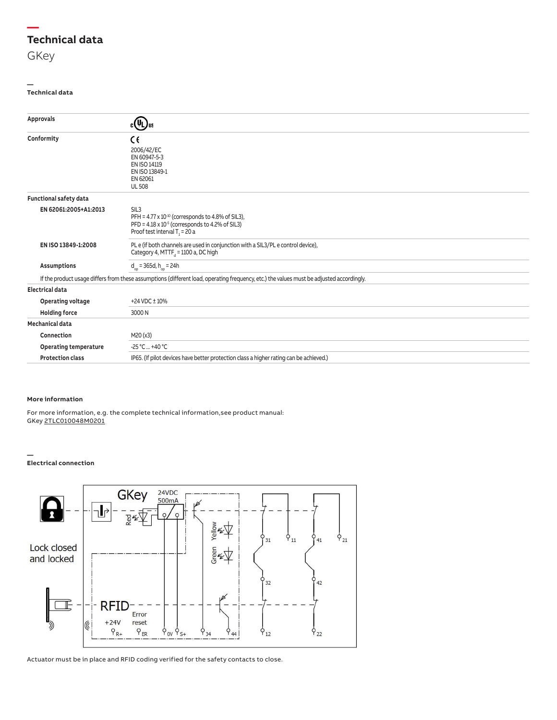# **— Technical data**

#### **— Technical data**

| Approvals                     | $c(\bar{U}_L)$ us                                                                                                                                                               |  |  |
|-------------------------------|---------------------------------------------------------------------------------------------------------------------------------------------------------------------------------|--|--|
| Conformity                    | C٤<br>2006/42/EC                                                                                                                                                                |  |  |
|                               | EN 60947-5-3<br>EN ISO 14119                                                                                                                                                    |  |  |
|                               | EN ISO 13849-1                                                                                                                                                                  |  |  |
|                               | EN 62061<br><b>UL 508</b>                                                                                                                                                       |  |  |
| <b>Functional safety data</b> |                                                                                                                                                                                 |  |  |
| EN 62061:2005+A1:2013         | SIL <sub>3</sub><br>PFH = $4.77 \times 10^{-10}$ (corresponds to 4.8% of SIL3),<br>PFD = $4.18 \times 10^{-5}$ (corresponds to 4.2% of SIL3)<br>Proof test interval $T_1 = 20a$ |  |  |
| EN ISO 13849-1:2008           | PL e (if both channels are used in conjunction with a SIL3/PL e control device),<br>Category 4, MTTF <sub>3</sub> = 1100 a, DC high                                             |  |  |
| <b>Assumptions</b>            | $d_{\text{on}}$ = 365d, h <sub>on</sub> = 24h                                                                                                                                   |  |  |
|                               | If the product usage differs from these assumptions (different load, operating frequency, etc.) the values must be adjusted accordingly.                                        |  |  |
| <b>Electrical data</b>        |                                                                                                                                                                                 |  |  |
| Operating voltage             | +24 VDC ± 10%                                                                                                                                                                   |  |  |
| <b>Holding force</b>          | 3000N                                                                                                                                                                           |  |  |
| Mechanical data               |                                                                                                                                                                                 |  |  |
| Connection                    | M20 (x3)                                                                                                                                                                        |  |  |
| <b>Operating temperature</b>  | $-25 °C  +40 °C$                                                                                                                                                                |  |  |
| <b>Protection class</b>       | IP65. (If pilot devices have better protection class a higher rating can be achieved.)                                                                                          |  |  |

## **More information**

For more information, e.g. the complete technical information,see product manual: GKey 2TLC010048M0201

#### **— Electrical connection**



Actuator must be in place and RFID coding verified for the safety contacts to close.